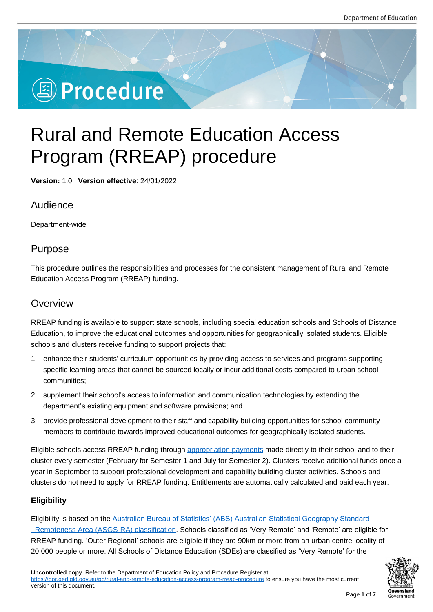# **<sup><sup>3</sup>** Procedure</sup>

# Rural and Remote Education Access Program (RREAP) procedure

**Version:** 1.0 | **Version effective**: 24/01/2022

# Audience

Department-wide

# Purpose

This procedure outlines the responsibilities and processes for the consistent management of Rural and Remote Education Access Program (RREAP) funding.

# **Overview**

RREAP funding is available to support state schools, including special education schools and Schools of Distance Education, to improve the educational outcomes and opportunities for geographically isolated students. Eligible schools and clusters receive funding to support projects that:

- 1. enhance their students' curriculum opportunities by providing access to services and programs supporting specific learning areas that cannot be sourced locally or incur additional costs compared to urban school communities;
- 2. supplement their school's access to information and communication technologies by extending the department's existing equipment and software provisions; and
- 3. provide professional development to their staff and capability building opportunities for school community members to contribute towards improved educational outcomes for geographically isolated students.

Eligible schools access RREAP funding through appropriation payments made directly to their school and to their cluster every semester (February for Semester 1 and July for Semester 2). Clusters receive additional funds once a year in September to support professional development and capability building cluster activities. Schools and clusters do not need to apply for RREAP funding[. Entitlements are autom](https://education.qld.gov.au/about-us/budgets-funding-grants/grants/state-schools/core-funding/rreap)atically calculated and paid each year.

# **Eligibility**

Eligibility is based on the Australian Bureau of Statistics' (ABS) Australian Statistical Geography Standard –Remoteness Area (ASGS-RA) classification. Schools classified as 'Very Remote' and 'Remote' are eligible for RREAP funding. 'Outer Regional' schools are eligible if they are 90km or more from an urban centre locality of 20,000 people or more. [All Schools of Distance Education \(SDEs\) are classified as '](https://www.abs.gov.au/websitedbs/D3310114.nsf/home/remoteness+structure)Very Remote' for the

**Oueensland**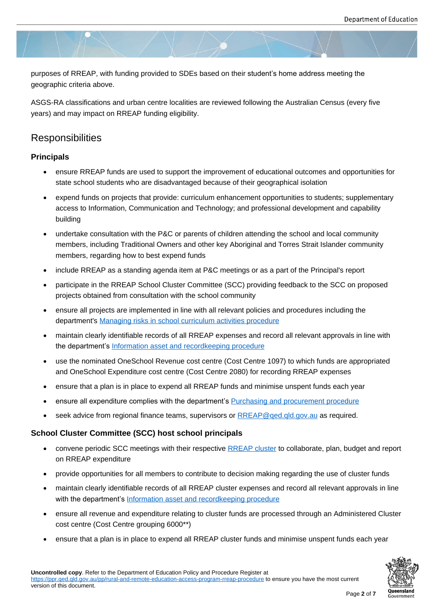purposes of RREAP, with funding provided to SDEs based on their student's home address meeting the geographic criteria above.

ASGS-RA classifications and urban centre localities are reviewed following the Australian Census (every five years) and may impact on RREAP funding eligibility.

# **Responsibilities**

#### **Principals**

- ensure RREAP funds are used to support the improvement of educational outcomes and opportunities for state school students who are disadvantaged because of their geographical isolation
- expend funds on projects that provide: curriculum enhancement opportunities to students; supplementary access to Information, Communication and Technology; and professional development and capability building
- undertake consultation with the P&C or parents of children attending the school and local community members, including Traditional Owners and other key Aboriginal and Torres Strait Islander community members, regarding how to best expend funds
- include RREAP as a standing agenda item at P&C meetings or as a part of the Principal's report
- participate in the RREAP School Cluster Committee (SCC) providing feedback to the SCC on proposed projects obtained from consultation with the school community
- ensure all projects are implemented in line with all relevant policies and procedures including the department's Managing risks in school curriculum activities procedure
- maintain clearly identifiable records of all RREAP expenses and record all relevant approvals in line with the department's Information asset and recordkeeping procedure
- use the nomi[nated OneSchool Revenue cost centre \(Cost Centre 109](https://ppr.qed.qld.gov.au/pp/managing-risks-in-school-curriculum-activities-procedure)7) to which funds are appropriated and OneSchool Expenditure cost centre (Cost Centre 2080) for recording RREAP expenses
- ensure that a pla[n is in place to expend all RREAP funds and min](https://ppr.qed.qld.gov.au/pp/information-asset-and-recordkeeping-procedure)imise unspent funds each year
- **ensure all expenditure complies with the department's Purchasing and procurement procedure**
- seek advice from regional finance teams, supervisors or RREAP@ged.gld.gov.au as required.

#### **School Cluster Committee (SCC) host school princi[pals](https://ppr.qed.qld.gov.au/pp/purchasing-and-procurement-procedure)**

- convene periodic SCC meetings with their respective RREAP cluster [to collaborat](mailto:RREAP@qed.qld.gov.au)e, plan, budget and report on RREAP expenditure
- provide opportunities for all members to contribute to decision making regarding the use of cluster funds
- maintain clearly identifiable records of all RREAP clu[ster expenses a](https://education.qld.gov.au/schools-and-educators/other-education/Documents/rreap-clusters.XLS)nd record all relevant approvals in line with the department's Information asset and recordkeeping procedure
- ensure all revenue and expenditure relating to cluster funds are processed through an Administered Cluster cost centre (Cost Centre grouping 6000\*\*)
- ensure that a plan is i[n place to expend all RREAP cluster funds and m](https://ppr.qed.qld.gov.au/pp/information-asset-and-recordkeeping-procedure)inimise unspent funds each year

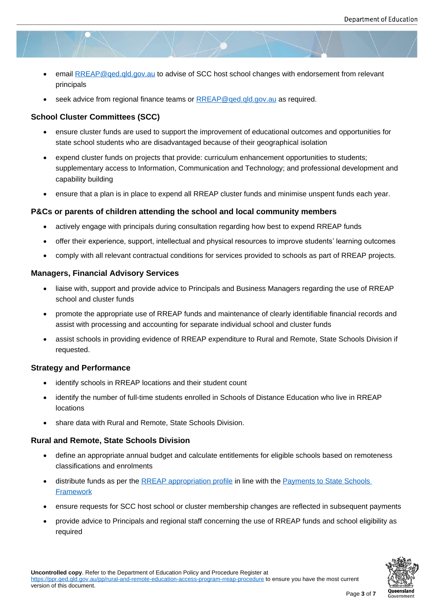- email RREAP@ged.gld.gov.au to advise of SCC host school changes with endorsement from relevant principals
- seek advice from regional finance teams or RREAP@qed.qld.gov.au as required.

#### **School Clu[ster Committees \(SCC](mailto:RREAP@qed.qld.gov.au))**

- ensure cluster funds are used to support th[e improvement of educatio](mailto:RREAP@qed.qld.gov.au)nal outcomes and opportunities for state school students who are disadvantaged because of their geographical isolation
- expend cluster funds on projects that provide: curriculum enhancement opportunities to students; supplementary access to Information, Communication and Technology; and professional development and capability building
- ensure that a plan is in place to expend all RREAP cluster funds and minimise unspent funds each year.

#### **P&Cs or parents of children attending the school and local community members**

- actively engage with principals during consultation regarding how best to expend RREAP funds
- offer their experience, support, intellectual and physical resources to improve students' learning outcomes
- comply with all relevant contractual conditions for services provided to schools as part of RREAP projects.

#### **Managers, Financial Advisory Services**

- liaise with, support and provide advice to Principals and Business Managers regarding the use of RREAP school and cluster funds
- promote the appropriate use of RREAP funds and maintenance of clearly identifiable financial records and assist with processing and accounting for separate individual school and cluster funds
- assist schools in providing evidence of RREAP expenditure to Rural and Remote, State Schools Division if requested.

#### **Strategy and Performance**

- identify schools in RREAP locations and their student count
- identify the number of full-time students enrolled in Schools of Distance Education who live in RREAP locations
- share data with Rural and Remote, State Schools Division.

#### **Rural and Remote, State Schools Division**

- define an appropriate annual budget and calculate entitlements for eligible schools based on remoteness classifications and enrolments
- distribute funds as per the RREAP appropriation profile in line with the Payments to State Schools **Framework**
- ensure requests for SCC host school or cluster membership changes are reflected in subsequent payments
- provide advice to Principal[s and regional staff concernin](https://education.qld.gov.au/about-us/budgets-funding-grants/grants/state-schools/core-funding/rreap)g the use of R[REAP funds and school eligi](https://intranet.qed.qld.gov.au/Services/Finance/Appropriationsandallowances/Pages/Default.aspx)bility as [required](https://intranet.qed.qld.gov.au/Services/Finance/Appropriationsandallowances/Pages/Default.aspx)

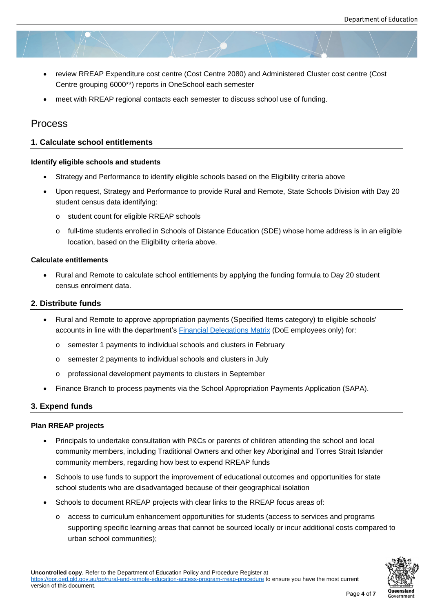- review RREAP Expenditure cost centre (Cost Centre 2080) and Administered Cluster cost centre (Cost Centre grouping 6000\*\*) reports in OneSchool each semester
- meet with RREAP regional contacts each semester to discuss school use of funding.

# Process

#### **1. Calculate school entitlements**

#### **Identify eligible schools and students**

- Strategy and Performance to identify eligible schools based on the Eligibility criteria above
- Upon request, Strategy and Performance to provide Rural and Remote, State Schools Division with Day 20 student census data identifying:
	- o student count for eligible RREAP schools
	- o full-time students enrolled in Schools of Distance Education (SDE) whose home address is in an eligible location, based on the Eligibility criteria above.

#### **Calculate entitlements**

 Rural and Remote to calculate school entitlements by applying the funding formula to Day 20 student census enrolment data.

#### **2. Distribute funds**

- Rural and Remote to approve appropriation payments (Specified Items category) to eligible schools' accounts in line with the department's Financial Delegations Matrix (DoE employees only) for:
	- o semester 1 payments to individual schools and clusters in February
	- o semester 2 payments to individual [schools and clusters in July](https://intranet.qed.qld.gov.au/Services/Finance/Delegations)
	- o professional development payments to clusters in September
- Finance Branch to process payments via the School Appropriation Payments Application (SAPA).

#### **3. Expend funds**

#### **Plan RREAP projects**

- Principals to undertake consultation with P&Cs or parents of children attending the school and local community members, including Traditional Owners and other key Aboriginal and Torres Strait Islander community members, regarding how best to expend RREAP funds
- Schools to use funds to support the improvement of educational outcomes and opportunities for state school students who are disadvantaged because of their geographical isolation
- Schools to document RREAP projects with clear links to the RREAP focus areas of:
	- o access to curriculum enhancement opportunities for students (access to services and programs supporting specific learning areas that cannot be sourced locally or incur additional costs compared to urban school communities);

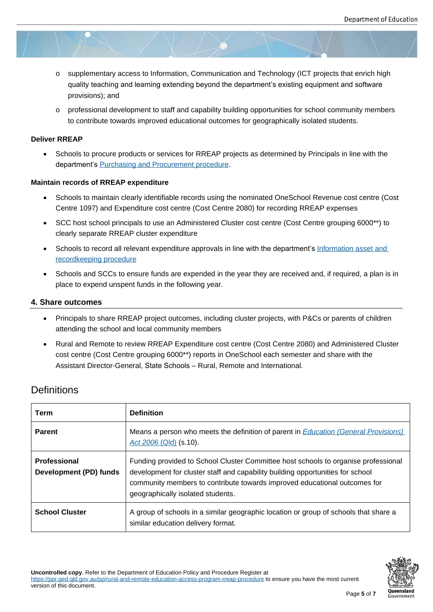- o supplementary access to Information, Communication and Technology (ICT projects that enrich high quality teaching and learning extending beyond the department's existing equipment and software provisions); and
- $\circ$  professional development to staff and capability building opportunities for school community members to contribute towards improved educational outcomes for geographically isolated students.

#### **Deliver RREAP**

 Schools to procure products or services for RREAP projects as determined by Principals in line with the department's Purchasing and Procurement procedure.

#### **Maintain records of RREAP expenditure**

- Schools to m[aintain clearly identifiable records using t](https://ppr.qed.qld.gov.au/pp/purchasing-and-procurement-procedure)he nominated OneSchool Revenue cost centre (Cost Centre 1097) and Expenditure cost centre (Cost Centre 2080) for recording RREAP expenses
- SCC host school principals to use an Administered Cluster cost centre (Cost Centre grouping 6000\*\*) to clearly separate RREAP cluster expenditure
- Schools to record all relevant expenditure approvals in line with the department's Information asset and recordkeeping procedure
- Schools and SCCs to ensure funds are expended in the year they are received and, if required, a plan is in place to expend unspent funds in the following year.

#### **4. Sha[re outcomes](https://ppr.qed.qld.gov.au/pp/information-asset-and-recordkeeping-procedure)**

- Principals to share RREAP project outcomes, including cluster projects, with P&Cs or parents of children attending the school and local community members
- Rural and Remote to review RREAP Expenditure cost centre (Cost Centre 2080) and Administered Cluster cost centre (Cost Centre grouping 6000\*\*) reports in OneSchool each semester and share with the Assistant Director-General, State Schools – Rural, Remote and International.

# **Definitions**

| Term                                   | <b>Definition</b>                                                                                                                                                                                                                                                                      |
|----------------------------------------|----------------------------------------------------------------------------------------------------------------------------------------------------------------------------------------------------------------------------------------------------------------------------------------|
| <b>Parent</b>                          | Means a person who meets the definition of parent in <b>Education (General Provisions)</b><br>Act 2006 (Qld) (s.10).                                                                                                                                                                   |
| Professional<br>Development (PD) funds | Funding provided to School Cluster Committee host schools to organise professional<br>development for cluster staff and capability building opportunities for school<br>community members to contribute towards improved educational outcomes for<br>geographically isolated students. |
| <b>School Cluster</b>                  | A group of schools in a similar geographic location or group of schools that share a<br>similar education delivery format.                                                                                                                                                             |



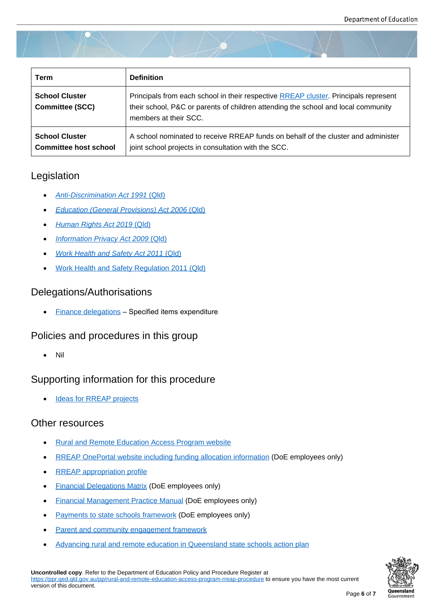| Term                                                  | <b>Definition</b>                                                                                                                                                                                 |
|-------------------------------------------------------|---------------------------------------------------------------------------------------------------------------------------------------------------------------------------------------------------|
| <b>School Cluster</b><br><b>Committee (SCC)</b>       | Principals from each school in their respective RREAP cluster. Principals represent<br>their school, P&C or parents of children attending the school and local community<br>members at their SCC. |
| <b>School Cluster</b><br><b>Committee host school</b> | A school nominated to receive RREAP funds on behalf of the cluster and administer<br>joint school projects in consultation with the SCC.                                                          |

# Legislation

- *Anti-Discrimination Act 1991* (Qld)
- *Education (General Provisions) Act 2006* (Qld)
- *[Human Rights Act 2019](https://www.legislation.qld.gov.au/view/html/inforce/current/act-1991-085)* (Ql[d\)](https://www.legislation.qld.gov.au/view/html/inforce/current/act-1991-085)
- *[Information Privacy Act 2009](https://www.legislation.qld.gov.au/view/html/inforce/current/act-2006-039)* [\(Qld\)](https://www.legislation.qld.gov.au/view/html/inforce/current/act-1991-085)
- *[Work Health and Safety Act 2](https://www.legislation.qld.gov.au/view/html/inforce/current/act-2019-005)011* (Qld)
- [Work Health and Safety Regulation](https://www.legislation.qld.gov.au/view/html/inforce/current/act-2009-014) 2011 (Qld)

# Dele[gations/Authorisations](https://www.legislation.qld.gov.au/view/html/inforce/current/act-2011-018)

• Finance delegations - Specified items expenditure

# Policies and procedures in this group

[Nil](https://ppr.qed.qld.gov.au/Documents/finance-delegations.pdf)

# Supporting information for this procedure

Ideas for RREAP projects

# Other resources

- [Rural and Remote Educat](https://ppr.qed.qld.gov.au/attachment/ideas-for-rreap-projects.docx)ion Access Program website
- RREAP OnePortal website including funding allocation information (DoE employees only)
- [RREAP appropriation profile](https://education.qld.gov.au/schools-educators/other-education/rural-and-remote-education/support-rural-and-remote/rreap)
- **•** [Financial Delegations Matrix \(DoE employees only\)](https://intranet.qed.qld.gov.au/EducationDelivery/rural-remote-education/Pages/support.aspx)
- [Financial Management Pract](https://education.qld.gov.au/about-us/budgets-funding-grants/grants/state-schools/core-funding/rreap)ice Manual (DoE employees only)
- [Payments to state schools](https://intranet.qed.qld.gov.au/Services/Finance/Delegations) framework (DoE employees only)
- [Parent and community engagement fram](https://intranet.qed.qld.gov.au/Services/Finance/Pages/fmpm.aspx)ework
- [Advancing rural and remote education](https://intranet.qed.qld.gov.au/Services/Finance/Forms/Documents/payments-to-schools-framework.PDF) in Queensland state schools action plan